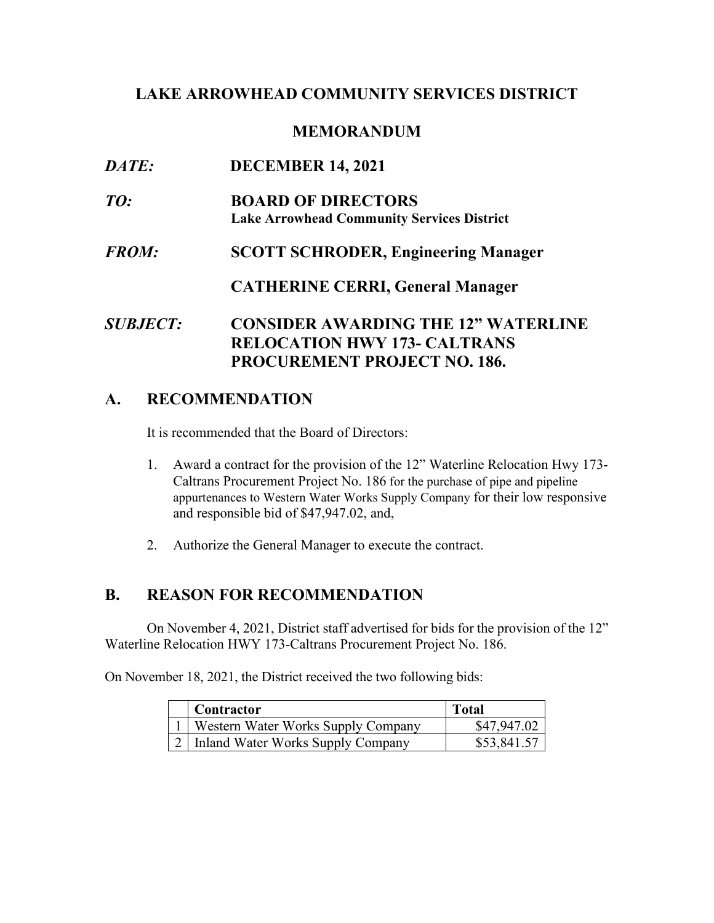# **LAKE ARROWHEAD COMMUNITY SERVICES DISTRICT**

### **MEMORANDUM**

| <i>DATE:</i>           | <b>DECEMBER 14, 2021</b>                                                          |
|------------------------|-----------------------------------------------------------------------------------|
| TO:                    | <b>BOARD OF DIRECTORS</b><br><b>Lake Arrowhead Community Services District</b>    |
| <i>FROM:</i>           | <b>SCOTT SCHRODER, Engineering Manager</b>                                        |
|                        | <b>CATHERINE CERRI, General Manager</b>                                           |
| <i><b>SUBJECT:</b></i> | <b>CONSIDER AWARDING THE 12" WATERLINE</b><br><b>RELOCATION HWY 173- CALTRANS</b> |
|                        | <b>PROCUREMENT PROJECT NO. 186.</b>                                               |

# **A. RECOMMENDATION**

It is recommended that the Board of Directors:

- 1. Award a contract for the provision of the 12" Waterline Relocation Hwy 173- appurtenances to Western Water Works Supply Company for their low responsive Caltrans Procurement Project No. 186 for the purchase of pipe and pipeline and responsible bid of \$[47,947.02,](https://47,947.02) and,
- 2. Authorize the General Manager to execute the contract.

# **B. REASON FOR RECOMMENDATION**

 On November 4, 2021, District staff advertised for bids for the provision of the 12" Waterline Relocation HWY 173-Caltrans Procurement Project No. 186.

On November 18, 2021, the District received the two following bids:

| Contractor                         | <b>Total</b> |
|------------------------------------|--------------|
| Western Water Works Supply Company | \$47,947.02  |
| Inland Water Works Supply Company  | \$53,841.57  |